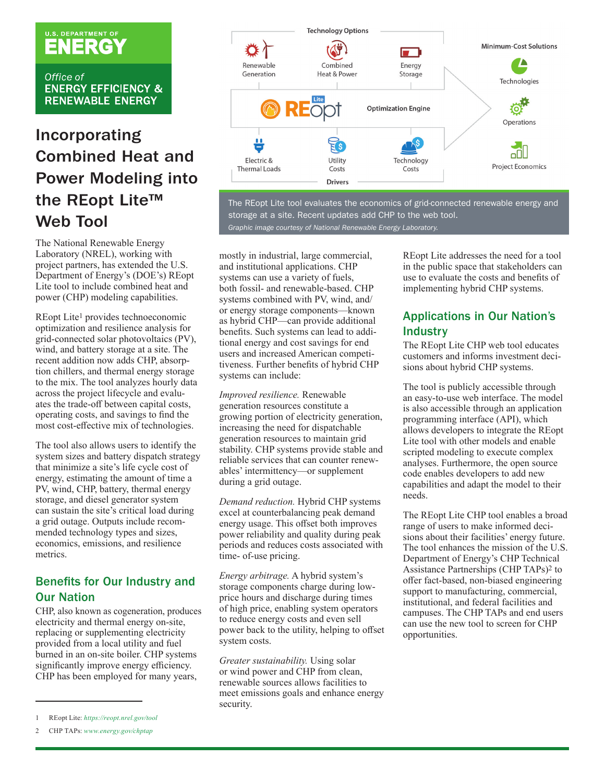# U.S. DEPARTMENT OF

Office of **ENERGY EFFICIENCY & RENEWABLE ENERGY** 

# Incorporating Combined Heat and Power Modeling into the REopt Lite™ Web Tool

The National Renewable Energy Laboratory (NREL), working with project partners, has extended the U.S. Department of Energy's (DOE's) REopt Lite tool to include combined heat and power (CHP) modeling capabilities.

REopt Lite<sup>1</sup> provides technoeconomic optimization and resilience analysis for grid-connected solar photovoltaics (PV), wind, and battery storage at a site. The recent addition now adds CHP, absorption chillers, and thermal energy storage to the mix. The tool analyzes hourly data across the project lifecycle and evaluates the trade-off between capital costs, operating costs, and savings to find the most cost-effective mix of technologies.

The tool also allows users to identify the system sizes and battery dispatch strategy that minimize a site's life cycle cost of energy, estimating the amount of time a PV, wind, CHP, battery, thermal energy storage, and diesel generator system can sustain the site's critical load during a grid outage. Outputs include recommended technology types and sizes, economics, emissions, and resilience metrics.

# Benefits for Our Industry and Our Nation

CHP, also known as cogeneration, produces electricity and thermal energy on-site, replacing or supplementing electricity provided from a local utility and fuel burned in an on-site boiler. CHP systems significantly improve energy efficiency. CHP has been employed for many years,



The REopt Lite tool evaluates the economics of grid-connected renewable energy and storage at a site. Recent updates add CHP to the web tool. *Graphic image courtesy of National Renewable Energy Laboratory.*

mostly in industrial, large commercial, and institutional applications. CHP systems can use a variety of fuels, both fossil- and renewable-based. CHP systems combined with PV, wind, and/ or energy storage components—known as hybrid CHP—can provide additional benefits. Such systems can lead to additional energy and cost savings for end users and increased American competitiveness. Further benefits of hybrid CHP systems can include:

*Improved resilience.* Renewable generation resources constitute a growing portion of electricity generation, increasing the need for dispatchable generation resources to maintain grid stability. CHP systems provide stable and reliable services that can counter renewables' intermittency—or supplement during a grid outage.

*Demand reduction.* Hybrid CHP systems excel at counterbalancing peak demand energy usage. This offset both improves power reliability and quality during peak periods and reduces costs associated with time- of-use pricing.

*Energy arbitrage.* A hybrid system's storage components charge during lowprice hours and discharge during times of high price, enabling system operators to reduce energy costs and even sell power back to the utility, helping to offset system costs.

*Greater sustainability.* Using solar or wind power and CHP from clean, renewable sources allows facilities to meet emissions goals and enhance energy security.

REopt Lite addresses the need for a tool in the public space that stakeholders can use to evaluate the costs and benefits of implementing hybrid CHP systems.

# Applications in Our Nation's **Industry**

The REopt Lite CHP web tool educates customers and informs investment decisions about hybrid CHP systems.

The tool is publicly accessible through an easy-to-use web interface. The model is also accessible through an application programming interface (API), which allows developers to integrate the REopt Lite tool with other models and enable scripted modeling to execute complex analyses. Furthermore, the open source code enables developers to add new capabilities and adapt the model to their needs.

The REopt Lite CHP tool enables a broad range of users to make informed decisions about their facilities' energy future. The tool enhances the mission of the U.S. Department of Energy's CHP Technical Assistance Partnerships (CHP TAPs)2 to offer fact-based, non-biased engineering support to manufacturing, commercial, institutional, and federal facilities and campuses. The CHP TAPs and end users can use the new tool to screen for CHP opportunities.

<sup>1</sup> REopt Lite: *<https://reopt.nrel.gov/tool>*

<sup>2</sup> CHP TAPs: *[www.energy.gov/chptap](http://www.energy.gov/chptap)*